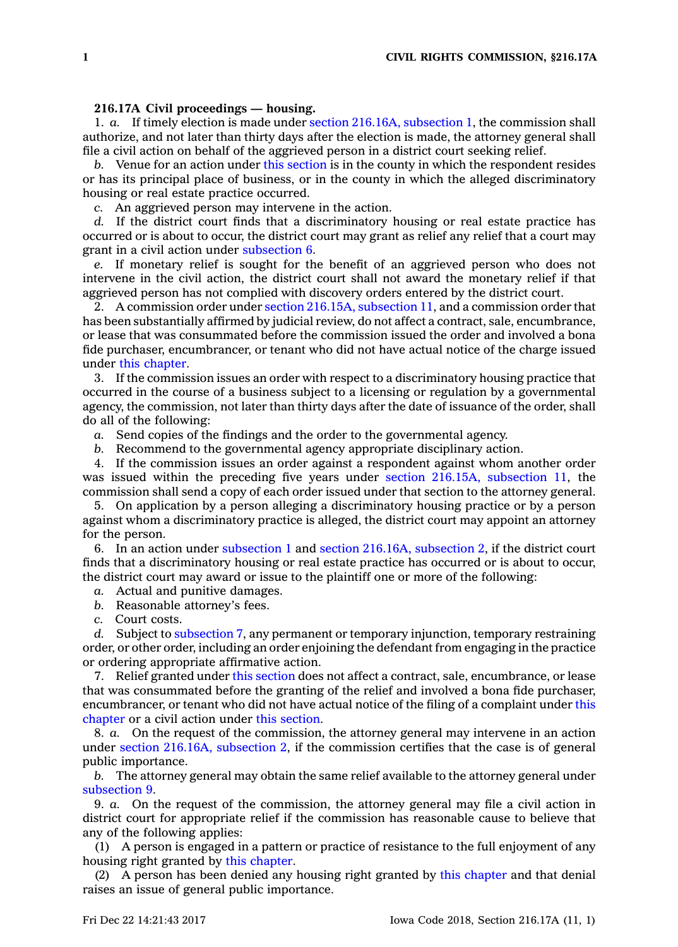## **216.17A Civil proceedings — housing.**

1. *a.* If timely election is made under section 216.16A, [subsection](https://www.legis.iowa.gov/docs/code/216.16A.pdf) 1, the commission shall authorize, and not later than thirty days after the election is made, the attorney general shall file <sup>a</sup> civil action on behalf of the aggrieved person in <sup>a</sup> district court seeking relief.

*b.* Venue for an action under this [section](https://www.legis.iowa.gov/docs/code/216.17A.pdf) is in the county in which the respondent resides or has its principal place of business, or in the county in which the alleged discriminatory housing or real estate practice occurred.

*c.* An aggrieved person may intervene in the action.

*d.* If the district court finds that <sup>a</sup> discriminatory housing or real estate practice has occurred or is about to occur, the district court may grant as relief any relief that <sup>a</sup> court may grant in <sup>a</sup> civil action under [subsection](https://www.legis.iowa.gov/docs/code/216.17A.pdf) 6.

*e.* If monetary relief is sought for the benefit of an aggrieved person who does not intervene in the civil action, the district court shall not award the monetary relief if that aggrieved person has not complied with discovery orders entered by the district court.

2. A commission order under section 216.15A, [subsection](https://www.legis.iowa.gov/docs/code/216.15A.pdf) 11, and <sup>a</sup> commission order that has been substantially affirmed by judicial review, do not affect <sup>a</sup> contract, sale, encumbrance, or lease that was consummated before the commission issued the order and involved <sup>a</sup> bona fide purchaser, encumbrancer, or tenant who did not have actual notice of the charge issued under this [chapter](https://www.legis.iowa.gov/docs/code//216.pdf).

3. If the commission issues an order with respect to <sup>a</sup> discriminatory housing practice that occurred in the course of <sup>a</sup> business subject to <sup>a</sup> licensing or regulation by <sup>a</sup> governmental agency, the commission, not later than thirty days after the date of issuance of the order, shall do all of the following:

*a.* Send copies of the findings and the order to the governmental agency.

*b.* Recommend to the governmental agency appropriate disciplinary action.

4. If the commission issues an order against <sup>a</sup> respondent against whom another order was issued within the preceding five years under section 216.15A, [subsection](https://www.legis.iowa.gov/docs/code/216.15A.pdf) 11, the commission shall send <sup>a</sup> copy of each order issued under that section to the attorney general.

5. On application by <sup>a</sup> person alleging <sup>a</sup> discriminatory housing practice or by <sup>a</sup> person against whom <sup>a</sup> discriminatory practice is alleged, the district court may appoint an attorney for the person.

6. In an action under [subsection](https://www.legis.iowa.gov/docs/code/216.17A.pdf) 1 and section 216.16A, [subsection](https://www.legis.iowa.gov/docs/code/216.16A.pdf) 2, if the district court finds that <sup>a</sup> discriminatory housing or real estate practice has occurred or is about to occur, the district court may award or issue to the plaintiff one or more of the following:

*a.* Actual and punitive damages.

*b.* Reasonable attorney's fees.

*c.* Court costs.

*d.* Subject to [subsection](https://www.legis.iowa.gov/docs/code/216.17A.pdf) 7, any permanent or temporary injunction, temporary restraining order, or other order, including an order enjoining the defendant from engaging in the practice or ordering appropriate affirmative action.

7. Relief granted under this [section](https://www.legis.iowa.gov/docs/code/216.17A.pdf) does not affect <sup>a</sup> contract, sale, encumbrance, or lease that was consummated before the granting of the relief and involved <sup>a</sup> bona fide purchaser, encumbrancer, or tenant who did not have actual notice of the filing of <sup>a</sup> complaint under [this](https://www.legis.iowa.gov/docs/code//216.pdf) [chapter](https://www.legis.iowa.gov/docs/code//216.pdf) or <sup>a</sup> civil action under this [section](https://www.legis.iowa.gov/docs/code/216.17A.pdf).

8. *a.* On the request of the commission, the attorney general may intervene in an action under section 216.16A, [subsection](https://www.legis.iowa.gov/docs/code/216.16A.pdf) 2, if the commission certifies that the case is of general public importance.

*b.* The attorney general may obtain the same relief available to the attorney general under [subsection](https://www.legis.iowa.gov/docs/code/216.17A.pdf) 9.

9. *a.* On the request of the commission, the attorney general may file <sup>a</sup> civil action in district court for appropriate relief if the commission has reasonable cause to believe that any of the following applies:

(1) A person is engaged in <sup>a</sup> pattern or practice of resistance to the full enjoyment of any housing right granted by this [chapter](https://www.legis.iowa.gov/docs/code//216.pdf).

(2) A person has been denied any housing right granted by this [chapter](https://www.legis.iowa.gov/docs/code//216.pdf) and that denial raises an issue of general public importance.